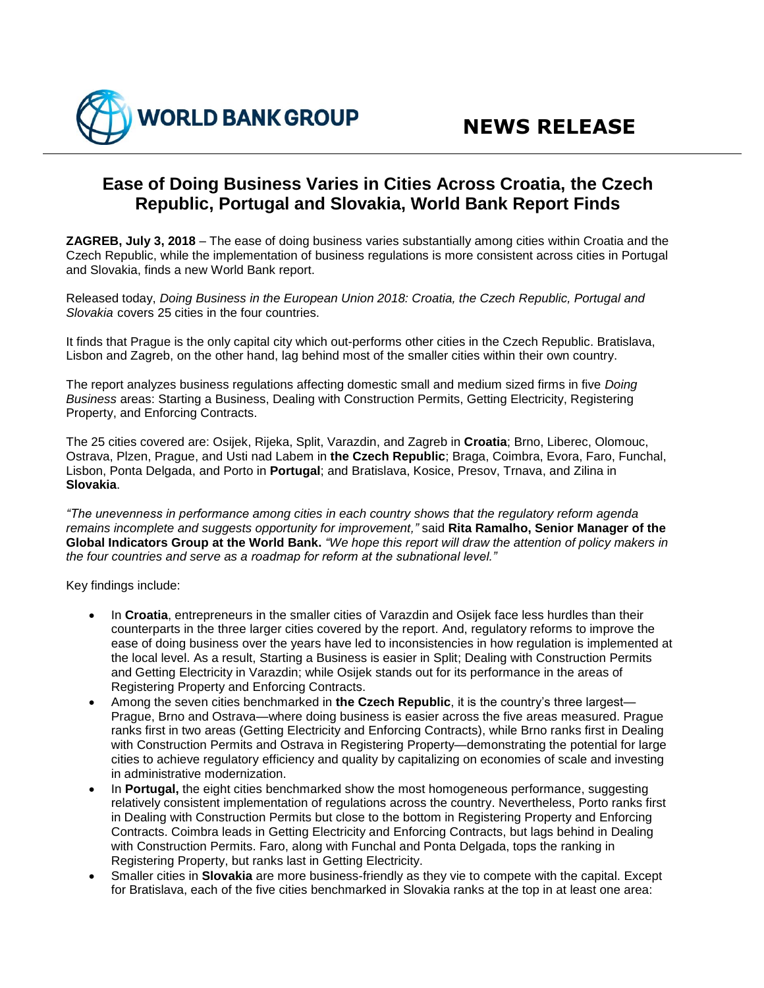## **Ease of Doing Business Varies in Cities Across Croatia, the Czech Republic, Portugal and Slovakia, World Bank Report Finds**

**ZAGREB, July 3, 2018** – The ease of doing business varies substantially among cities within Croatia and the Czech Republic, while the implementation of business regulations is more consistent across cities in Portugal and Slovakia, finds a new World Bank report.

Released today, *Doing Business in the European Union 2018: Croatia, the Czech Republic, Portugal and Slovakia* covers 25 cities in the four countries.

It finds that Prague is the only capital city which out-performs other cities in the Czech Republic. Bratislava, Lisbon and Zagreb, on the other hand, lag behind most of the smaller cities within their own country.

The report analyzes business regulations affecting domestic small and medium sized firms in five *Doing Business* areas: Starting a Business, Dealing with Construction Permits, Getting Electricity, Registering Property, and Enforcing Contracts.

The 25 cities covered are: Osijek, Rijeka, Split, Varazdin, and Zagreb in **Croatia**; Brno, Liberec, Olomouc, Ostrava, Plzen, Prague, and Usti nad Labem in **the Czech Republic**; Braga, Coimbra, Evora, Faro, Funchal, Lisbon, Ponta Delgada, and Porto in **Portugal**; and Bratislava, Kosice, Presov, Trnava, and Zilina in **Slovakia**.

*"The unevenness in performance among cities in each country shows that the regulatory reform agenda remains incomplete and suggests opportunity for improvement,"* said **Rita Ramalho, Senior Manager of the Global Indicators Group at the World Bank.** *"We hope this report will draw the attention of policy makers in the four countries and serve as a roadmap for reform at the subnational level."* 

Key findings include:

- In **Croatia**, entrepreneurs in the smaller cities of Varazdin and Osijek face less hurdles than their counterparts in the three larger cities covered by the report. And, regulatory reforms to improve the ease of doing business over the years have led to inconsistencies in how regulation is implemented at the local level. As a result, Starting a Business is easier in Split; Dealing with Construction Permits and Getting Electricity in Varazdin; while Osijek stands out for its performance in the areas of Registering Property and Enforcing Contracts.
- Among the seven cities benchmarked in **the Czech Republic**, it is the country's three largest— Prague, Brno and Ostrava—where doing business is easier across the five areas measured. Prague ranks first in two areas (Getting Electricity and Enforcing Contracts), while Brno ranks first in Dealing with Construction Permits and Ostrava in Registering Property—demonstrating the potential for large cities to achieve regulatory efficiency and quality by capitalizing on economies of scale and investing in administrative modernization.
- In **Portugal,** the eight cities benchmarked show the most homogeneous performance, suggesting relatively consistent implementation of regulations across the country. Nevertheless, Porto ranks first in Dealing with Construction Permits but close to the bottom in Registering Property and Enforcing Contracts. Coimbra leads in Getting Electricity and Enforcing Contracts, but lags behind in Dealing with Construction Permits. Faro, along with Funchal and Ponta Delgada, tops the ranking in Registering Property, but ranks last in Getting Electricity.
- Smaller cities in **Slovakia** are more business-friendly as they vie to compete with the capital. Except for Bratislava, each of the five cities benchmarked in Slovakia ranks at the top in at least one area: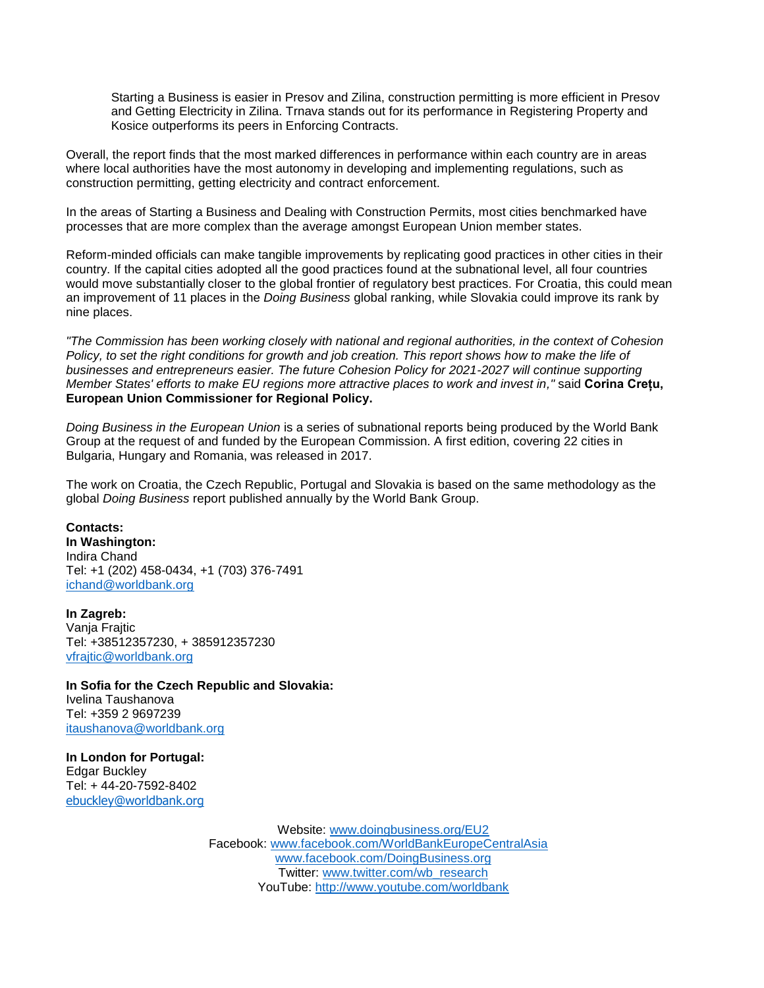Starting a Business is easier in Presov and Zilina, construction permitting is more efficient in Presov and Getting Electricity in Zilina. Trnava stands out for its performance in Registering Property and Kosice outperforms its peers in Enforcing Contracts.

Overall, the report finds that the most marked differences in performance within each country are in areas where local authorities have the most autonomy in developing and implementing regulations, such as construction permitting, getting electricity and contract enforcement.

In the areas of Starting a Business and Dealing with Construction Permits, most cities benchmarked have processes that are more complex than the average amongst European Union member states.

Reform-minded officials can make tangible improvements by replicating good practices in other cities in their country. If the capital cities adopted all the good practices found at the subnational level, all four countries would move substantially closer to the global frontier of regulatory best practices. For Croatia, this could mean an improvement of 11 places in the *Doing Business* global ranking, while Slovakia could improve its rank by nine places.

*"The Commission has been working closely with national and regional authorities, in the context of Cohesion Policy, to set the right conditions for growth and job creation. This report shows how to make the life of businesses and entrepreneurs easier. The future Cohesion Policy for 2021-2027 will continue supporting Member States' efforts to make EU regions more attractive places to work and invest in,"* said **Corina Crețu, European Union Commissioner for Regional Policy.**

*Doing Business in the European Union* is a series of subnational reports being produced by the World Bank Group at the request of and funded by the European Commission. A first edition, covering 22 cities in Bulgaria, Hungary and Romania, was released in 2017.

The work on Croatia, the Czech Republic, Portugal and Slovakia is based on the same methodology as the global *Doing Business* report published annually by the World Bank Group.

**Contacts: In Washington:** Indira Chand Tel: +1 (202) 458-0434, +1 (703) 376-7491 [ichand@worldbank.org](mailto:ichand@worldbank.org)

**In Zagreb:** Vanja Frajtic Tel: +38512357230, + 385912357230 [vfrajtic@worldbank.org](mailto:vfrajtic@worldbank.org)

**In Sofia for the Czech Republic and Slovakia:** Ivelina Taushanova Tel: +359 2 9697239 [itaushanova@worldbank.org](mailto:itaushanova@worldbank.org)

**In London for Portugal:** Edgar Buckley Tel: + 44-20-7592-8402 [ebuckley@worldbank.org](mailto:ebuckley@worldbank.org)

> Website: [www.doingbusiness.org/EU2](http://www.doingbusiness.org/reports/subnational-reports/eu-croatia-czechrepublic-portugal-slovakia) Facebook: [www.facebook.com/WorldBankEuropeCentralAsia](http://www.facebook.com/WorldBankEuropeCentralAsia) [www.facebook.com/DoingBusiness.org](http://www.facebook.com/DoingBusiness.org) Twitter: [www.twitter.com/wb\\_research](http://www.twitter.com/wb_research) YouTube: http:/[/www.youtube.com/worldbank](http://www.youtube.com/worldbank)